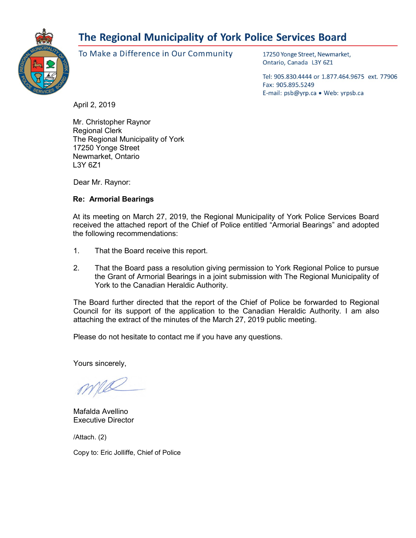# The Regional Municipality of York Police Services Board



To Make a Difference in Our Community

17250 Yonge Street, Newmarket, Ontario, Canada L3Y 6Z1

Tel: 905.830.4444 or 1.877.464.9675 ext. 77906 Fax: 905.895.5249 E-mail: psb@yrp.ca · Web: yrpsb.ca

April 2, 2019

Mr. Christopher Raynor Regional Clerk The Regional Municipality of York 17250 Yonge Street Newmarket, Ontario L3Y 6Z1

Dear Mr. Raynor:

# **Re: Armorial Bearings**

At its meeting on March 27, 2019, the Regional Municipality of York Police Services Board received the attached report of the Chief of Police entitled "Armorial Bearings" and adopted the following recommendations:

- 1. That the Board receive this report.
- 2. That the Board pass a resolution giving permission to York Regional Police to pursue the Grant of Armorial Bearings in a joint submission with The Regional Municipality of York to the Canadian Heraldic Authority.

The Board further directed that the report of the Chief of Police be forwarded to Regional Council for its support of the application to the Canadian Heraldic Authority. I am also attaching the extract of the minutes of the March 27, 2019 public meeting.

Please do not hesitate to contact me if you have any questions.

Yours sincerely,

Mafalda Avellino Executive Director

/Attach. (2)

Copy to: Eric Jolliffe, Chief of Police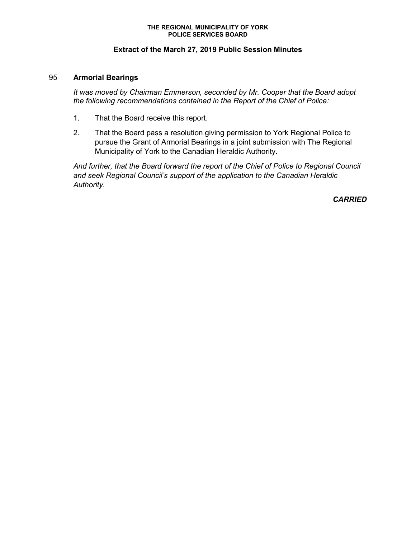#### **THE REGIONAL MUNICIPALITY OF YORK POLICE SERVICES BOARD**

# **Extract of the March 27, 2019 Public Session Minutes**

### 95 **Armorial Bearings**

*It was moved by Chairman Emmerson, seconded by Mr. Cooper that the Board adopt the following recommendations contained in the Report of the Chief of Police:*

- 1. That the Board receive this report.
- 2. That the Board pass a resolution giving permission to York Regional Police to pursue the Grant of Armorial Bearings in a joint submission with The Regional Municipality of York to the Canadian Heraldic Authority.

*And further, that the Board forward the report of the Chief of Police to Regional Council and seek Regional Council's support of the application to the Canadian Heraldic Authority.* 

*CARRIED*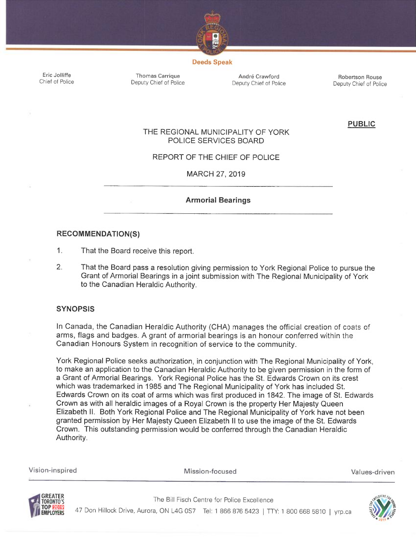

#### Deeds Speak

Eric Jolliffe Chief of Police

Thomas Carrique **André Crawford** Andre Crawford Robertson Rouse<br>
Deputy Chief of Police Deputy Chief of Police Deputy Chief of Police

<sup>D</sup>eputy Chief of Police Deputy Chief of Police Deputy Chief of Police

PUBLIC

# THE REGIONAL MUNICIPALITY OF YORK POLICE SERVICES BOARD

# REPORT OF THE CHIEF OF POLICE

MARCH 27, 2019

# <sup>A</sup>rmorial Bearings

#### RECOMMENDATIONS)

 $1.$ <sup>T</sup>hat the Board receive this report.

<sup>2</sup>. That the Board pass a resolution giving permission to York Regional Police to pursue the <sup>G</sup>rant of Armorial Bearings in a joint submission with The Regional Municipality of York <sup>t</sup>o the Canadian Heraldic Authority.

#### **SYNOPSIS**

In Canada, the Canadian Heraldic Authority (CHA) manages the official creation of coats of <sup>a</sup>rms, flags and badges. A grant of armorial bearings is an honour conferred within the <sup>C</sup>anadian Honours System in recognition of service to the community.

<sup>Y</sup>ork Regional Police seeks authorization, in conjunction with The Regional Municipality of York, <sup>t</sup>o make an application to the Canadian Heraldic Authority to be given permission in the form of <sup>a</sup> Grant of Armorial Bearings. York Regional Police has the St. Edwards Crown on its crest <sup>w</sup>hich was trademarked in 1985 and The Regional Municipality of York has included St. <sup>E</sup>dwards Crown on its coat of arms which was first produced in 1842. The image of St. Edwards <sup>C</sup>rown as with all heraldic images of a Royal Crown is the property Her Majesty Queen <sup>E</sup>lizabeth II. Both York Regional Police and The Regional Municipality of York have not been <sup>g</sup>ranted permission by Her Majesty Queen Elizabeth II to use the image of the St. Edwards <sup>C</sup>rown. This outstanding permission would be conferred through the Canadian Heraldic <sup>A</sup>uthority.

<sup>V</sup>ision-inspired Mission-focused Values-driven



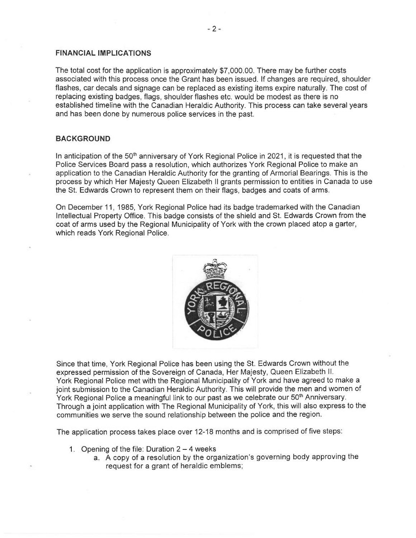#### FINANCIAL IMPLICATIONS

The total cost for the application is approximately \$7,000.00. There may be further costs associated with this process once the Grant has been issued. If changes are required, shoulder flashes, car decals and signage can be replaced as existing items expire naturally. The cost of replacing existing badges, flags, shoulder flashes etc. would be modest as there is no established timeline with the Canadian Heraldic Authority. This process can take several years and has been done by numerous police services in the past.

#### BACKGROUND

In anticipation of the 50<sup>th</sup> anniversary of York Regional Police in 2021, it is requested that the Police Services Board pass a resolution, which authorizes York Regional Police to make an application to the Canadian Heraldic Authority for the granting of Armorial Bearings. This is the process by which Her Majesty Queen Elizabeth II grants permission to entities in Canada to use the St. Edwards Crown to represent them on their flags, badges and coats of arms.

On December 11, 1985, York Regional Police had its badge trademarked with the Canadian Intellectual Property Office. This badge consists of the shield and St. Edwards Crown from the coat of arms used by the Regional Municipality of York with the crown placed atop a garter, which reads York Regional Police.



Since that time, York Regional Police has been using the St. Edwards Crown without the expressed permission of the Sovereign of Canada, Her Majesty, Queen Elizabeth II. York Regional Police met with the Regional Municipality of York and have agreed to make a joint submission to the Canadian Heraldic Authority. This will provide the men and women of York Regional Police a meaningful link to our past as we celebrate our 50<sup>th</sup> Anniversary. Through a joint application with The Regional Municipality of York, this will also express to the communities we serve the sound relationship between the police and the region.

The application process takes place over 12-18 months and is comprised of five steps:

- 1. Opening of the file: Duration  $2 4$  weeks
	- a. A copy of a resolution by the organization's governing body approving the request for a grant of heraldic emblems;